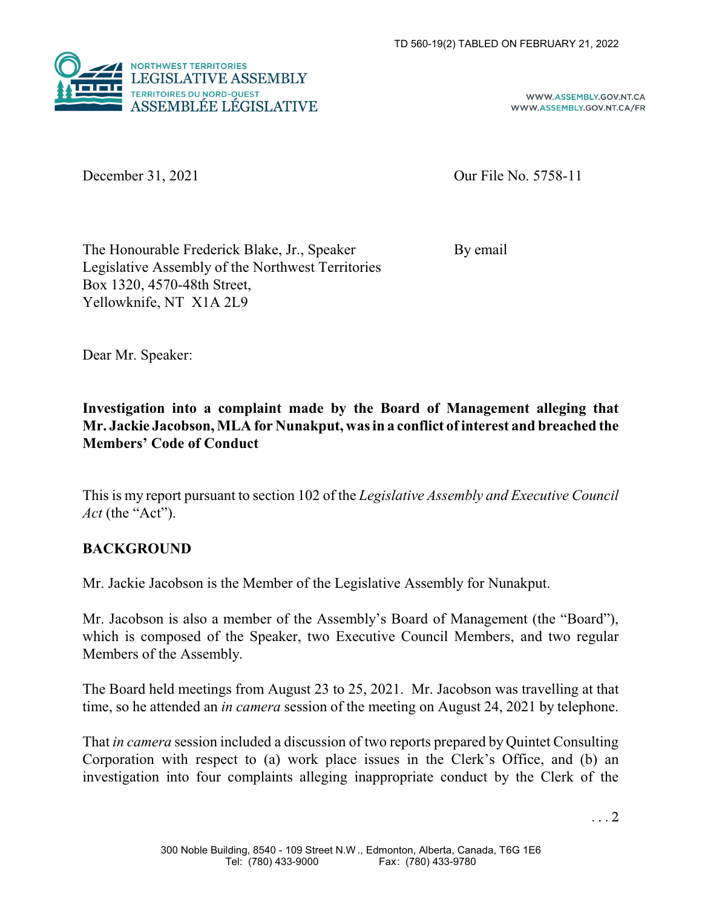

WWW.ASSEMBLY.GOV.NT.CA WWW.ASSEMBLY.GOV.NT.CA/FR

December 31, 2021 Our File No. 5758-11

The Honourable Frederick Blake, Jr., Speaker By email Legislative Assembly of the Northwest Territories Box 1320, 4570-48th Street, Yellowknife, NT X1A 2L9

Dear Mr. Speaker:

**Investigation into a complaint made by the Board of Management alleging that Mr. Jackie Jacobson, MLA for Nunakput, was in a conflict of interest and breached the Members' Code of Conduct**

This is my report pursuant to section 102 of the *Legislative Assembly and Executive Council Act* (the "Act").

## **BACKGROUND**

Mr. Jackie Jacobson is the Member of the Legislative Assembly for Nunakput.

Mr. Jacobson is also a member of the Assembly's Board of Management (the "Board"), which is composed of the Speaker, two Executive Council Members, and two regular Members of the Assembly.

The Board held meetings from August 23 to 25, 2021. Mr. Jacobson was travelling at that time, so he attended an *in camera* session of the meeting on August 24, 2021 by telephone.

That *in camera* session included a discussion of two reports prepared by Quintet Consulting Corporation with respect to (a) work place issues in the Clerk's Office, and (b) an investigation into four complaints alleging inappropriate conduct by the Clerk of the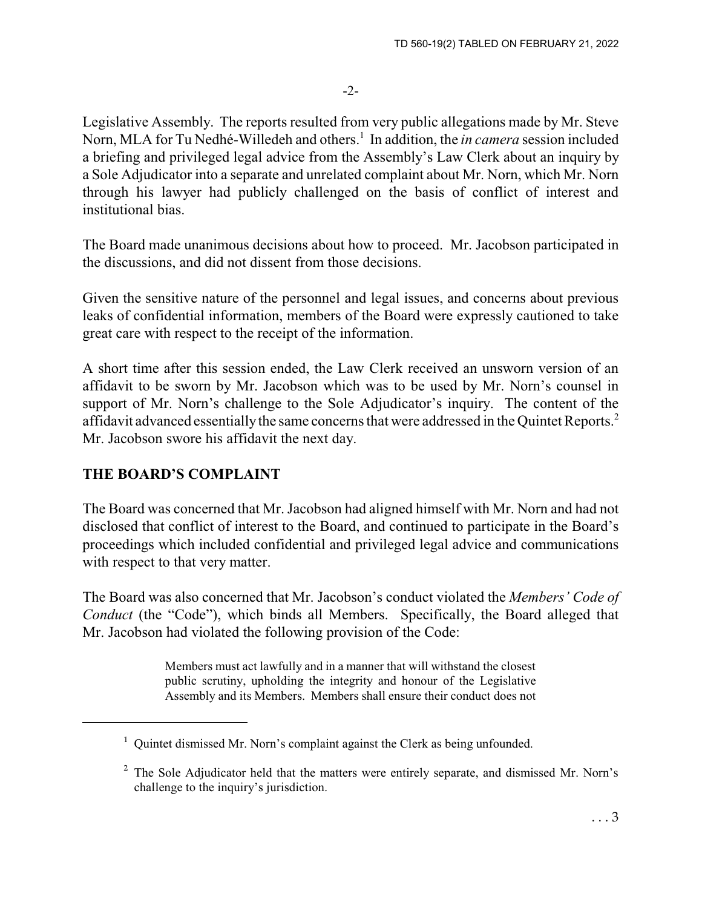Legislative Assembly. The reports resulted from very public allegations made by Mr. Steve Norn, MLA for Tu Nedhé-Willedeh and others.<sup>1</sup> In addition, the *in camera* session included a briefing and privileged legal advice from the Assembly's Law Clerk about an inquiry by a Sole Adjudicator into a separate and unrelated complaint about Mr. Norn, which Mr. Norn through his lawyer had publicly challenged on the basis of conflict of interest and institutional bias.

The Board made unanimous decisions about how to proceed. Mr. Jacobson participated in the discussions, and did not dissent from those decisions.

Given the sensitive nature of the personnel and legal issues, and concerns about previous leaks of confidential information, members of the Board were expressly cautioned to take great care with respect to the receipt of the information.

A short time after this session ended, the Law Clerk received an unsworn version of an affidavit to be sworn by Mr. Jacobson which was to be used by Mr. Norn's counsel in support of Mr. Norn's challenge to the Sole Adjudicator's inquiry. The content of the affidavit advanced essentially the same concerns that were addressed in the Ouintet Reports.<sup>2</sup> Mr. Jacobson swore his affidavit the next day.

# **THE BOARD'S COMPLAINT**

The Board was concerned that Mr. Jacobson had aligned himself with Mr. Norn and had not disclosed that conflict of interest to the Board, and continued to participate in the Board's proceedings which included confidential and privileged legal advice and communications with respect to that very matter.

The Board was also concerned that Mr. Jacobson's conduct violated the *Members' Code of Conduct* (the "Code"), which binds all Members. Specifically, the Board alleged that Mr. Jacobson had violated the following provision of the Code:

> Members must act lawfully and in a manner that will withstand the closest public scrutiny, upholding the integrity and honour of the Legislative Assembly and its Members. Members shall ensure their conduct does not

<sup>&</sup>lt;sup>1</sup> Quintet dismissed Mr. Norn's complaint against the Clerk as being unfounded.

 $2$  The Sole Adjudicator held that the matters were entirely separate, and dismissed Mr. Norn's challenge to the inquiry's jurisdiction.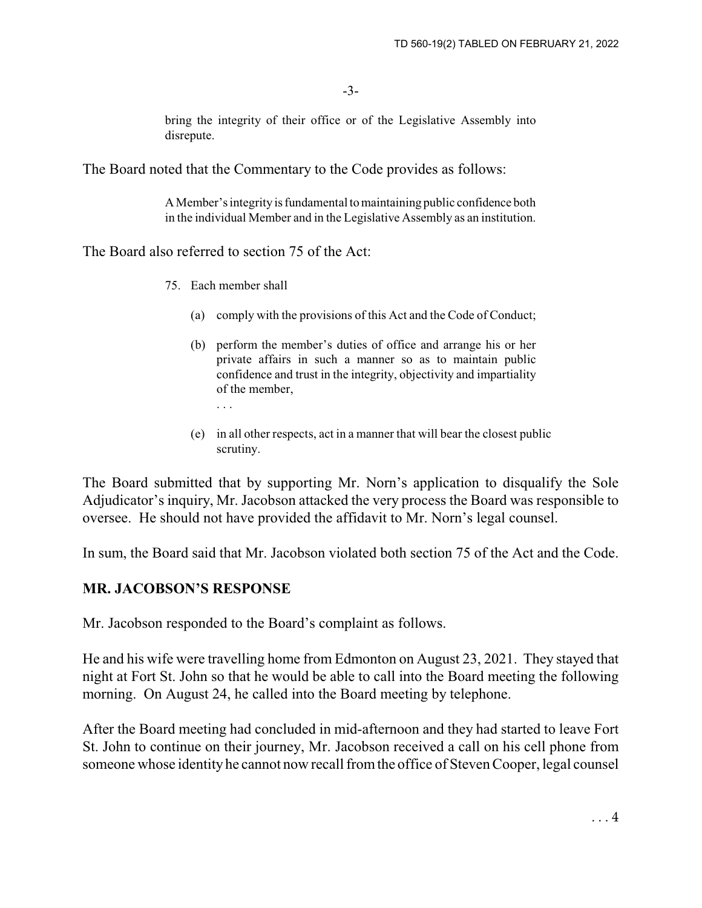-3-

bring the integrity of their office or of the Legislative Assembly into disrepute.

The Board noted that the Commentary to the Code provides as follows:

A Member's integrity is fundamental to maintaining public confidence both in the individual Member and in the Legislative Assembly as an institution.

The Board also referred to section 75 of the Act:

- 75. Each member shall
	- (a) comply with the provisions of this Act and the Code of Conduct;
	- (b) perform the member's duties of office and arrange his or her private affairs in such a manner so as to maintain public confidence and trust in the integrity, objectivity and impartiality of the member, . . .
	- (e) in all other respects, act in a manner that will bear the closest public scrutiny.

The Board submitted that by supporting Mr. Norn's application to disqualify the Sole Adjudicator's inquiry, Mr. Jacobson attacked the very process the Board was responsible to oversee. He should not have provided the affidavit to Mr. Norn's legal counsel.

In sum, the Board said that Mr. Jacobson violated both section 75 of the Act and the Code.

### **MR. JACOBSON'S RESPONSE**

Mr. Jacobson responded to the Board's complaint as follows.

He and his wife were travelling home from Edmonton on August 23, 2021. They stayed that night at Fort St. John so that he would be able to call into the Board meeting the following morning. On August 24, he called into the Board meeting by telephone.

After the Board meeting had concluded in mid-afternoon and they had started to leave Fort St. John to continue on their journey, Mr. Jacobson received a call on his cell phone from someone whose identity he cannot now recall from the office of Steven Cooper, legal counsel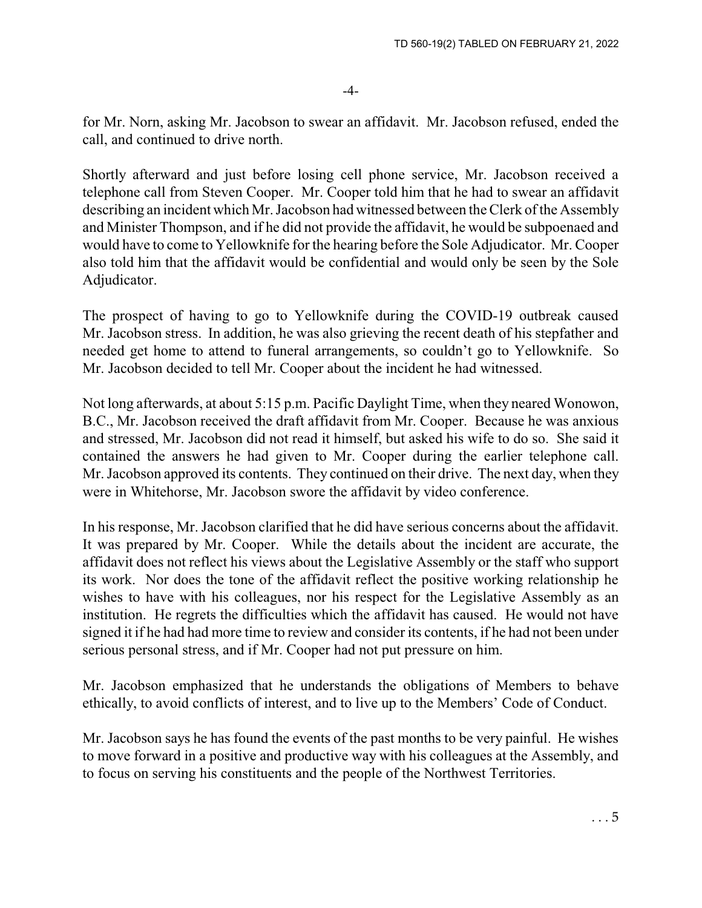for Mr. Norn, asking Mr. Jacobson to swear an affidavit. Mr. Jacobson refused, ended the call, and continued to drive north.

Shortly afterward and just before losing cell phone service, Mr. Jacobson received a telephone call from Steven Cooper. Mr. Cooper told him that he had to swear an affidavit describing an incident which Mr. Jacobson had witnessed between the Clerk of the Assembly and Minister Thompson, and if he did not provide the affidavit, he would be subpoenaed and would have to come to Yellowknife for the hearing before the Sole Adjudicator. Mr. Cooper also told him that the affidavit would be confidential and would only be seen by the Sole Adjudicator.

The prospect of having to go to Yellowknife during the COVID-19 outbreak caused Mr. Jacobson stress. In addition, he was also grieving the recent death of his stepfather and needed get home to attend to funeral arrangements, so couldn't go to Yellowknife. So Mr. Jacobson decided to tell Mr. Cooper about the incident he had witnessed.

Not long afterwards, at about 5:15 p.m. Pacific Daylight Time, when they neared Wonowon, B.C., Mr. Jacobson received the draft affidavit from Mr. Cooper. Because he was anxious and stressed, Mr. Jacobson did not read it himself, but asked his wife to do so. She said it contained the answers he had given to Mr. Cooper during the earlier telephone call. Mr. Jacobson approved its contents. They continued on their drive. The next day, when they were in Whitehorse, Mr. Jacobson swore the affidavit by video conference.

In his response, Mr. Jacobson clarified that he did have serious concerns about the affidavit. It was prepared by Mr. Cooper. While the details about the incident are accurate, the affidavit does not reflect his views about the Legislative Assembly or the staff who support its work. Nor does the tone of the affidavit reflect the positive working relationship he wishes to have with his colleagues, nor his respect for the Legislative Assembly as an institution. He regrets the difficulties which the affidavit has caused. He would not have signed it if he had had more time to review and consider its contents, if he had not been under serious personal stress, and if Mr. Cooper had not put pressure on him.

Mr. Jacobson emphasized that he understands the obligations of Members to behave ethically, to avoid conflicts of interest, and to live up to the Members' Code of Conduct.

Mr. Jacobson says he has found the events of the past months to be very painful. He wishes to move forward in a positive and productive way with his colleagues at the Assembly, and to focus on serving his constituents and the people of the Northwest Territories.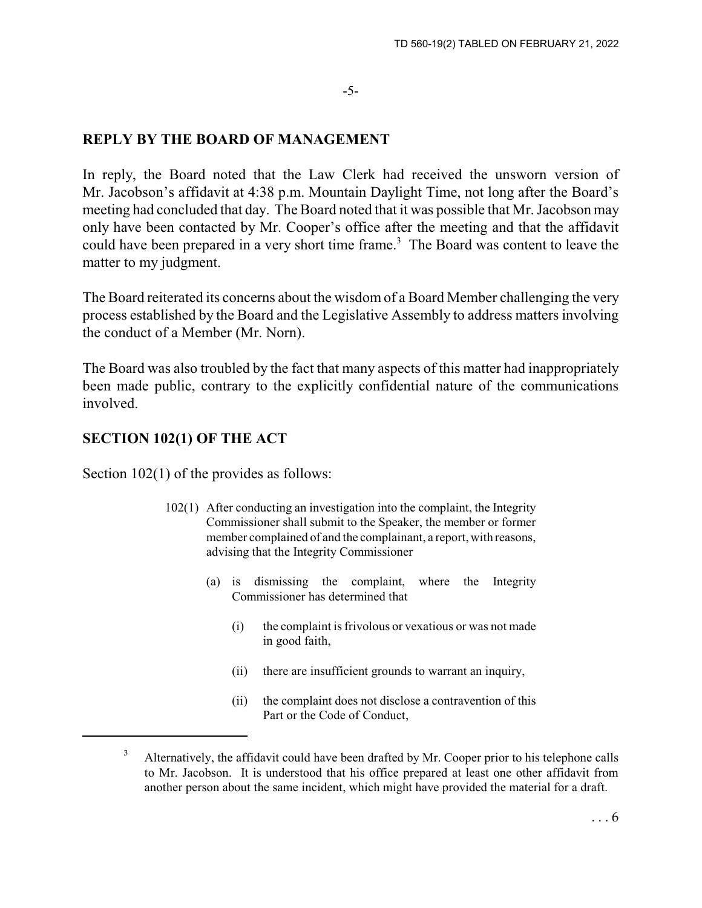#### -5-

#### **REPLY BY THE BOARD OF MANAGEMENT**

In reply, the Board noted that the Law Clerk had received the unsworn version of Mr. Jacobson's affidavit at 4:38 p.m. Mountain Daylight Time, not long after the Board's meeting had concluded that day. The Board noted that it was possible that Mr. Jacobson may only have been contacted by Mr. Cooper's office after the meeting and that the affidavit could have been prepared in a very short time frame.<sup>3</sup> The Board was content to leave the matter to my judgment.

The Board reiterated its concerns about the wisdom of a Board Member challenging the very process established by the Board and the Legislative Assembly to address matters involving the conduct of a Member (Mr. Norn).

The Board was also troubled by the fact that many aspects of this matter had inappropriately been made public, contrary to the explicitly confidential nature of the communications involved.

### **SECTION 102(1) OF THE ACT**

Section  $102(1)$  of the provides as follows:

- 102(1) After conducting an investigation into the complaint, the Integrity Commissioner shall submit to the Speaker, the member or former member complained of and the complainant, a report, with reasons, advising that the Integrity Commissioner
	- (a) is dismissing the complaint, where the Integrity Commissioner has determined that
		- (i) the complaint is frivolous or vexatious or was not made in good faith,
		- (ii) there are insufficient grounds to warrant an inquiry,
		- (ii) the complaint does not disclose a contravention of this Part or the Code of Conduct,

 $3$  Alternatively, the affidavit could have been drafted by Mr. Cooper prior to his telephone calls to Mr. Jacobson. It is understood that his office prepared at least one other affidavit from another person about the same incident, which might have provided the material for a draft.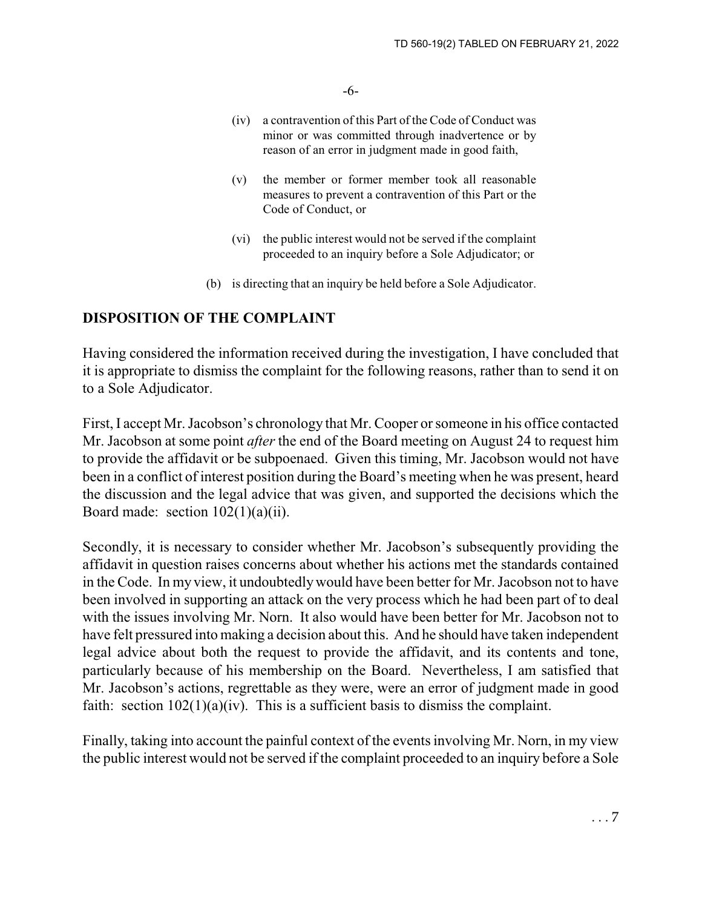-6-

- (iv) a contravention of this Part of the Code of Conduct was minor or was committed through inadvertence or by reason of an error in judgment made in good faith,
- (v) the member or former member took all reasonable measures to prevent a contravention of this Part or the Code of Conduct, or
- (vi) the public interest would not be served if the complaint proceeded to an inquiry before a Sole Adjudicator; or
- (b) is directing that an inquiry be held before a Sole Adjudicator.

### **DISPOSITION OF THE COMPLAINT**

Having considered the information received during the investigation, I have concluded that it is appropriate to dismiss the complaint for the following reasons, rather than to send it on to a Sole Adjudicator.

First, I accept Mr. Jacobson's chronology that Mr. Cooper or someone in his office contacted Mr. Jacobson at some point *after* the end of the Board meeting on August 24 to request him to provide the affidavit or be subpoenaed. Given this timing, Mr. Jacobson would not have been in a conflict of interest position during the Board's meeting when he was present, heard the discussion and the legal advice that was given, and supported the decisions which the Board made: section  $102(1)(a)(ii)$ .

Secondly, it is necessary to consider whether Mr. Jacobson's subsequently providing the affidavit in question raises concerns about whether his actions met the standards contained in the Code. In my view, it undoubtedly would have been better for Mr. Jacobson not to have been involved in supporting an attack on the very process which he had been part of to deal with the issues involving Mr. Norn. It also would have been better for Mr. Jacobson not to have felt pressured into making a decision about this. And he should have taken independent legal advice about both the request to provide the affidavit, and its contents and tone, particularly because of his membership on the Board. Nevertheless, I am satisfied that Mr. Jacobson's actions, regrettable as they were, were an error of judgment made in good faith: section  $102(1)(a)(iv)$ . This is a sufficient basis to dismiss the complaint.

Finally, taking into account the painful context of the events involving Mr. Norn, in my view the public interest would not be served if the complaint proceeded to an inquiry before a Sole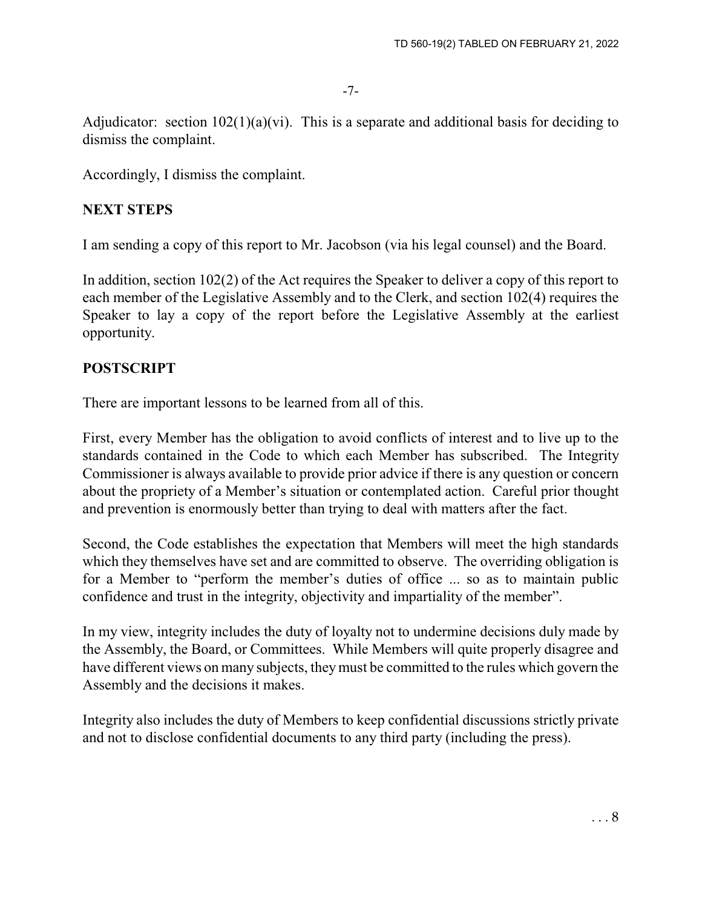-7-

Adjudicator: section  $102(1)(a)(vi)$ . This is a separate and additional basis for deciding to dismiss the complaint.

Accordingly, I dismiss the complaint.

## **NEXT STEPS**

I am sending a copy of this report to Mr. Jacobson (via his legal counsel) and the Board.

In addition, section 102(2) of the Act requires the Speaker to deliver a copy of this report to each member of the Legislative Assembly and to the Clerk, and section 102(4) requires the Speaker to lay a copy of the report before the Legislative Assembly at the earliest opportunity.

# **POSTSCRIPT**

There are important lessons to be learned from all of this.

First, every Member has the obligation to avoid conflicts of interest and to live up to the standards contained in the Code to which each Member has subscribed. The Integrity Commissioner is always available to provide prior advice if there is any question or concern about the propriety of a Member's situation or contemplated action. Careful prior thought and prevention is enormously better than trying to deal with matters after the fact.

Second, the Code establishes the expectation that Members will meet the high standards which they themselves have set and are committed to observe. The overriding obligation is for a Member to "perform the member's duties of office ... so as to maintain public confidence and trust in the integrity, objectivity and impartiality of the member".

In my view, integrity includes the duty of loyalty not to undermine decisions duly made by the Assembly, the Board, or Committees. While Members will quite properly disagree and have different views on many subjects, they must be committed to the rules which govern the Assembly and the decisions it makes.

Integrity also includes the duty of Members to keep confidential discussions strictly private and not to disclose confidential documents to any third party (including the press).